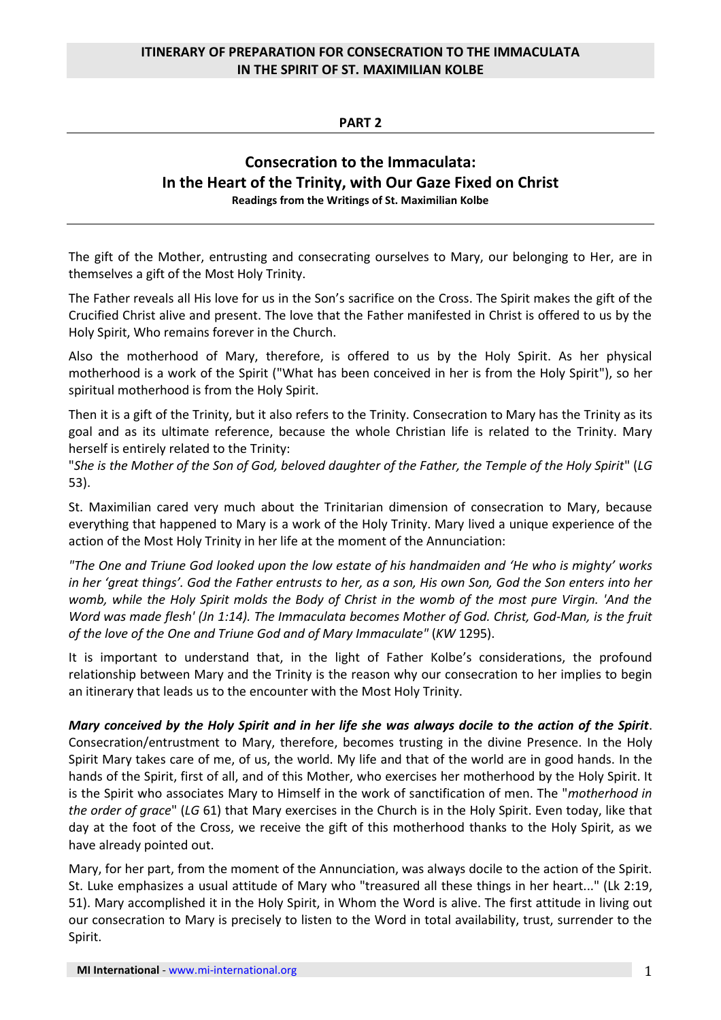# **ITINERARY OF PREPARATION FOR CONSECRATION TO THE IMMACULATA IN THE SPIRIT OF ST. MAXIMILIAN KOLBE**

# **PART 2**

# **Consecration to the Immaculata: In the Heart of the Trinity, with Our Gaze Fixed on Christ Readings from the Writings of St. Maximilian Kolbe**

The gift of the Mother, entrusting and consecrating ourselves to Mary, our belonging to Her, are in themselves a gift of the Most Holy Trinity.

The Father reveals all His love for us in the Son's sacrifice on the Cross. The Spirit makes the gift of the Crucified Christ alive and present. The love that the Father manifested in Christ is offered to us by the Holy Spirit, Who remains forever in the Church.

Also the motherhood of Mary, therefore, is offered to us by the Holy Spirit. As her physical motherhood is a work of the Spirit ("What has been conceived in her is from the Holy Spirit"), so her spiritual motherhood is from the Holy Spirit.

Then it is a gift of the Trinity, but it also refers to the Trinity. Consecration to Mary has the Trinity as its goal and as its ultimate reference, because the whole Christian life is related to the Trinity. Mary herself is entirely related to the Trinity:

"*She is the Mother of the Son of God, beloved daughter of the Father, the Temple of the Holy Spirit*" (*LG* 53).

St. Maximilian cared very much about the Trinitarian dimension of consecration to Mary, because everything that happened to Mary is a work of the Holy Trinity. Mary lived a unique experience of the action of the Most Holy Trinity in her life at the moment of the Annunciation:

*"The One and Triune God looked upon the low estate of his handmaiden and 'He who is mighty' works in her 'great things'. God the Father entrusts to her, as a son, His own Son, God the Son enters into her womb, while the Holy Spirit molds the Body of Christ in the womb of the most pure Virgin. 'And the Word was made flesh' (Jn 1:14). The Immaculata becomes Mother of God. Christ, God-Man, is the fruit of the love of the One and Triune God and of Mary Immaculate"* (*KW* 1295).

It is important to understand that, in the light of Father Kolbe's considerations, the profound relationship between Mary and the Trinity is the reason why our consecration to her implies to begin an itinerary that leads us to the encounter with the Most Holy Trinity.

*Mary conceived by the Holy Spirit and in her life she was always docile to the action of the Spirit*. Consecration/entrustment to Mary, therefore, becomes trusting in the divine Presence. In the Holy Spirit Mary takes care of me, of us, the world. My life and that of the world are in good hands. In the hands of the Spirit, first of all, and of this Mother, who exercises her motherhood by the Holy Spirit. It is the Spirit who associates Mary to Himself in the work of sanctification of men. The "*motherhood in the order of grace*" (*LG* 61) that Mary exercises in the Church is in the Holy Spirit. Even today, like that day at the foot of the Cross, we receive the gift of this motherhood thanks to the Holy Spirit, as we have already pointed out.

Mary, for her part, from the moment of the Annunciation, was always docile to the action of the Spirit. St. Luke emphasizes a usual attitude of Mary who "treasured all these things in her heart..." (Lk 2:19, 51). Mary accomplished it in the Holy Spirit, in Whom the Word is alive. The first attitude in living out our consecration to Mary is precisely to listen to the Word in total availability, trust, surrender to the Spirit.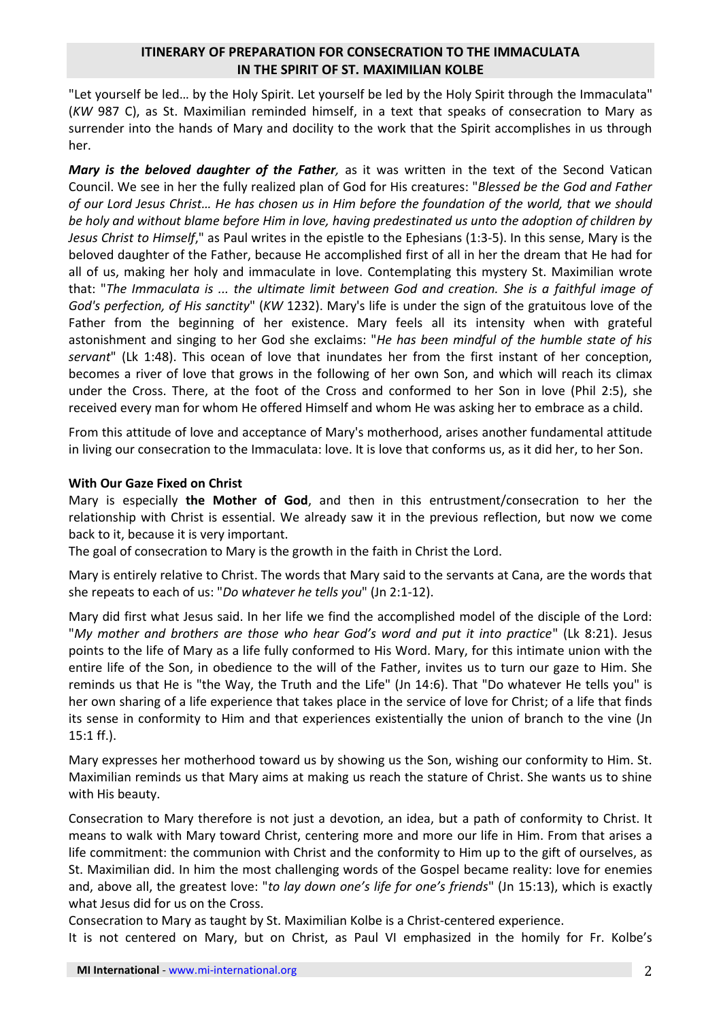## **ITINERARY OF PREPARATION FOR CONSECRATION TO THE IMMACULATA IN THE SPIRIT OF ST. MAXIMILIAN KOLBE**

"Let yourself be led… by the Holy Spirit. Let yourself be led by the Holy Spirit through the Immaculata" (*KW* 987 C), as St. Maximilian reminded himself, in a text that speaks of consecration to Mary as surrender into the hands of Mary and docility to the work that the Spirit accomplishes in us through her.

*Mary is the beloved daughter of the Father,* as it was written in the text of the Second Vatican Council. We see in her the fully realized plan of God for His creatures: "*Blessed be the God and Father of our Lord Jesus Christ… He has chosen us in Him before the foundation of the world, that we should be holy and without blame before Him in love, having predestinated us unto the adoption of children by Jesus Christ to Himself*," as Paul writes in the epistle to the Ephesians (1:3-5). In this sense, Mary is the beloved daughter of the Father, because He accomplished first of all in her the dream that He had for all of us, making her holy and immaculate in love. Contemplating this mystery St. Maximilian wrote that: "*The Immaculata is ... the ultimate limit between God and creation. She is a faithful image of God's perfection, of His sanctity*" (*KW* 1232). Mary's life is under the sign of the gratuitous love of the Father from the beginning of her existence. Mary feels all its intensity when with grateful astonishment and singing to her God she exclaims: "*He has been mindful of the humble state of his servant*" (Lk 1:48). This ocean of love that inundates her from the first instant of her conception, becomes a river of love that grows in the following of her own Son, and which will reach its climax under the Cross. There, at the foot of the Cross and conformed to her Son in love (Phil 2:5), she received every man for whom He offered Himself and whom He was asking her to embrace as a child.

From this attitude of love and acceptance of Mary's motherhood, arises another fundamental attitude in living our consecration to the Immaculata: love. It is love that conforms us, as it did her, to her Son.

#### **With Our Gaze Fixed on Christ**

Mary is especially **the Mother of God**, and then in this entrustment/consecration to her the relationship with Christ is essential. We already saw it in the previous reflection, but now we come back to it, because it is very important.

The goal of consecration to Mary is the growth in the faith in Christ the Lord.

Mary is entirely relative to Christ. The words that Mary said to the servants at Cana, are the words that she repeats to each of us: "*Do whatever he tells you*" (Jn 2:1-12).

Mary did first what Jesus said. In her life we find the accomplished model of the disciple of the Lord: "*My mother and brothers are those who hear God's word and put it into practice*" (Lk 8:21). Jesus points to the life of Mary as a life fully conformed to His Word. Mary, for this intimate union with the entire life of the Son, in obedience to the will of the Father, invites us to turn our gaze to Him. She reminds us that He is "the Way, the Truth and the Life" (Jn 14:6). That "Do whatever He tells you" is her own sharing of a life experience that takes place in the service of love for Christ; of a life that finds its sense in conformity to Him and that experiences existentially the union of branch to the vine (Jn 15:1 ff.).

Mary expresses her motherhood toward us by showing us the Son, wishing our conformity to Him. St. Maximilian reminds us that Mary aims at making us reach the stature of Christ. She wants us to shine with His beauty.

Consecration to Mary therefore is not just a devotion, an idea, but a path of conformity to Christ. It means to walk with Mary toward Christ, centering more and more our life in Him. From that arises a life commitment: the communion with Christ and the conformity to Him up to the gift of ourselves, as St. Maximilian did. In him the most challenging words of the Gospel became reality: love for enemies and, above all, the greatest love: "*to lay down one's life for one's friends*" (Jn 15:13), which is exactly what Jesus did for us on the Cross.

Consecration to Mary as taught by St. Maximilian Kolbe is a Christ-centered experience.

It is not centered on Mary, but on Christ, as Paul VI emphasized in the homily for Fr. Kolbe's